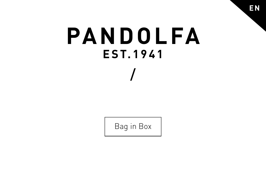# PANDOLFA **EST.1941**

Bag in Box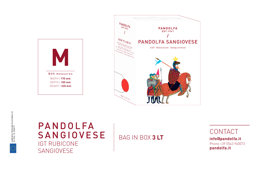



#### PANDOLFA SANGIOVESE IGT RUBICONE SANGIOVESE

#### BAG IN BOX **3 LT**

**CONTACT info@pandolfa.it** Phone +39 0543 940073 **pandolfa.it**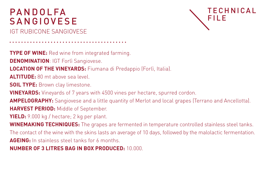# PANDOLFA SANGIOVESE

IGT RUBICONE SANGIOVESE

**TYPE OF WINE:** Red wine from integrated farming.

**DENOMINATION: IGT Forlì Sangiovese.** 

**LOCATION OF THE VINEYARDS:** Fiumana di Predappio (Forlì, Italia).

**ALTITUDE:** 80 mt above sea level.

**SOIL TYPE:** Brown clay limestone.

**VINEYARDS:** Vineyards of 7 years with 4500 vines per hectare, spurred cordon.

**AMPELOGRAPHY:** Sangiovese and a little quantity of Merlot and local grapes (Terrano and Ancellotta). **HARVEST PERIOD:** Middle of September.

**TECHNICAL** 

FILE

**YIELD:** 9.000 kg / hectare; 2 kg per plant.

**WINEMAKING TECHNIQUES:** The grapes are fermented in temperature controlled stainless steel tanks.

The contact of the wine with the skins lasts an average of 10 days, followed by the malolactic fermentation. **AGEING:** In stainless steel tanks for 6 months.

**NUMBER OF 3 LITRES BAG IN BOX PRODUCED:** 10.000.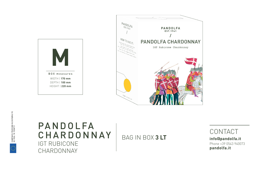



### PANDOLFA CHARDONNAY IGT RUBICONE CHARDONNAY

BAG IN BOX **3 LT**

CONTACT **info@pandolfa.it** Phone +39 0543 940073 **pandolfa.it**